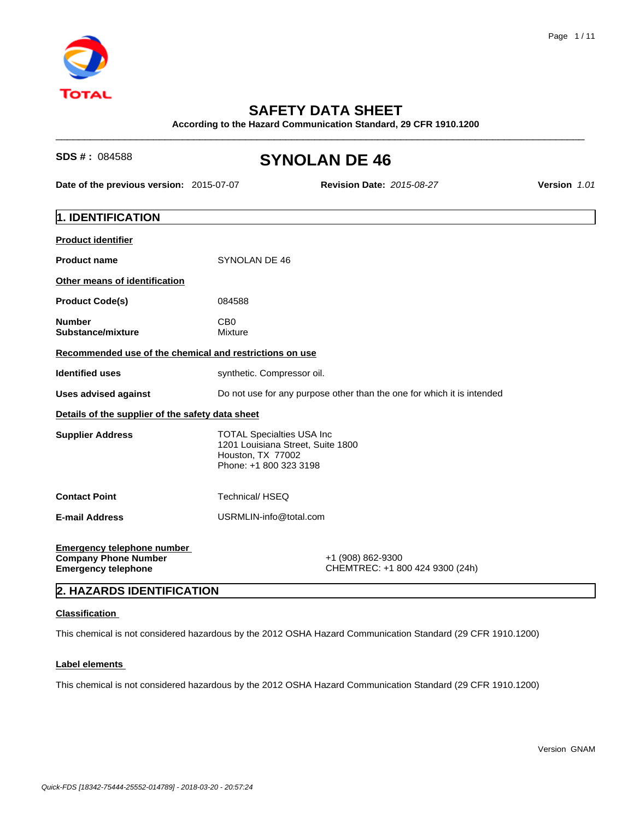

# **SAFETY DATA SHEET**

**According to the Hazard Communication Standard, 29 CFR 1910.1200**

# **SDS # : 084588 SYNOLAN DE 46**

**Date of the previous version:** 2015-07-07 **Revision Date:** *2015-08-27* **Version** *1.01*

 $\_$  ,  $\_$  ,  $\_$  ,  $\_$  ,  $\_$  ,  $\_$  ,  $\_$  ,  $\_$  ,  $\_$  ,  $\_$  ,  $\_$  ,  $\_$  ,  $\_$  ,  $\_$  ,  $\_$  ,  $\_$  ,  $\_$  ,  $\_$  ,  $\_$  ,  $\_$  ,  $\_$  ,  $\_$  ,  $\_$  ,  $\_$  ,  $\_$  ,  $\_$  ,  $\_$  ,  $\_$  ,  $\_$  ,  $\_$  ,  $\_$  ,  $\_$  ,  $\_$  ,  $\_$  ,  $\_$  ,  $\_$  ,  $\_$  ,

| 1. IDENTIFICATION                                                                              |                                                                                                                       |
|------------------------------------------------------------------------------------------------|-----------------------------------------------------------------------------------------------------------------------|
| <b>Product identifier</b>                                                                      |                                                                                                                       |
| <b>Product name</b>                                                                            | SYNOLAN DE 46                                                                                                         |
| Other means of identification                                                                  |                                                                                                                       |
| <b>Product Code(s)</b>                                                                         | 084588                                                                                                                |
| <b>Number</b><br>Substance/mixture                                                             | C <sub>B</sub> 0<br>Mixture                                                                                           |
| Recommended use of the chemical and restrictions on use                                        |                                                                                                                       |
| <b>Identified uses</b>                                                                         | synthetic. Compressor oil.                                                                                            |
| Uses advised against                                                                           | Do not use for any purpose other than the one for which it is intended                                                |
| Details of the supplier of the safety data sheet                                               |                                                                                                                       |
| <b>Supplier Address</b>                                                                        | <b>TOTAL Specialties USA Inc.</b><br>1201 Louisiana Street, Suite 1800<br>Houston, TX 77002<br>Phone: +1 800 323 3198 |
| <b>Contact Point</b>                                                                           | Technical/HSEQ                                                                                                        |
| <b>E-mail Address</b>                                                                          | USRMLIN-info@total.com                                                                                                |
| <b>Emergency telephone number</b><br><b>Company Phone Number</b><br><b>Emergency telephone</b> | +1 (908) 862-9300<br>CHEMTREC: +1 800 424 9300 (24h)                                                                  |
| 2. HAZARDS IDENTIFICATION                                                                      |                                                                                                                       |

## **Classification**

This chemical is not considered hazardous by the 2012 OSHA Hazard Communication Standard (29 CFR 1910.1200)

## **Label elements**

This chemical is not considered hazardous by the 2012 OSHA Hazard Communication Standard (29 CFR 1910.1200)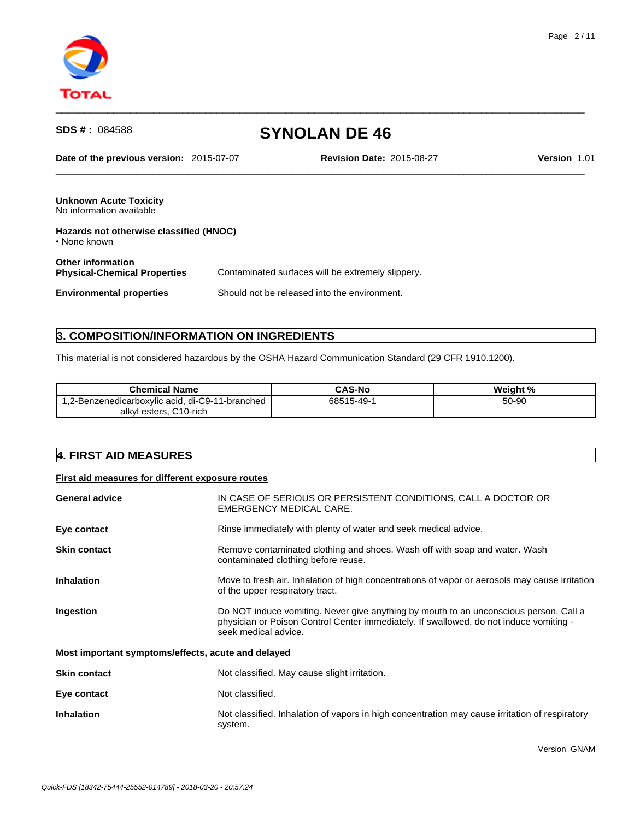

**Date of the previous version:** 2015-07-07 **Revision Date:** 2015-08-27 **Version** 1.01

 $\_$  ,  $\_$  ,  $\_$  ,  $\_$  ,  $\_$  ,  $\_$  ,  $\_$  ,  $\_$  ,  $\_$  ,  $\_$  ,  $\_$  ,  $\_$  ,  $\_$  ,  $\_$  ,  $\_$  ,  $\_$  ,  $\_$  ,  $\_$  ,  $\_$  ,  $\_$  ,  $\_$  ,  $\_$  ,  $\_$  ,  $\_$  ,  $\_$  ,  $\_$  ,  $\_$  ,  $\_$  ,  $\_$  ,  $\_$  ,  $\_$  ,  $\_$  ,  $\_$  ,  $\_$  ,  $\_$  ,  $\_$  ,  $\_$  ,

 $\_$  ,  $\_$  ,  $\_$  ,  $\_$  ,  $\_$  ,  $\_$  ,  $\_$  ,  $\_$  ,  $\_$  ,  $\_$  ,  $\_$  ,  $\_$  ,  $\_$  ,  $\_$  ,  $\_$  ,  $\_$  ,  $\_$  ,  $\_$  ,  $\_$  ,  $\_$  ,  $\_$  ,  $\_$  ,  $\_$  ,  $\_$  ,  $\_$  ,  $\_$  ,  $\_$  ,  $\_$  ,  $\_$  ,  $\_$  ,  $\_$  ,  $\_$  ,  $\_$  ,  $\_$  ,  $\_$  ,  $\_$  ,  $\_$  ,

**Unknown Acute Toxicity** No information available

| Hazards not otherwise classified (HNOC)<br>• None known         |                                                   |  |
|-----------------------------------------------------------------|---------------------------------------------------|--|
| <b>Other information</b><br><b>Physical-Chemical Properties</b> | Contaminated surfaces will be extremely slippery. |  |
| <b>Environmental properties</b>                                 | Should not be released into the environment.      |  |

# **3. COMPOSITION/INFORMATION ON INGREDIENTS**

This material is not considered hazardous by the OSHA Hazard Communication Standard (29 CFR 1910.1200).

| <b>Chemical Name</b>                            | <b>CAS-No</b> | Weight % |
|-------------------------------------------------|---------------|----------|
| 1,2-Benzenedicarboxylic acid, di-C9-11-branched | 68515-49      | 50-90    |
| C <sub>10-rich</sub><br>' esters.<br>alkvl      |               |          |

# **4. FIRST AID MEASURES**

### **First aid measures for different exposure routes**

| <b>General advice</b>                              | IN CASE OF SERIOUS OR PERSISTENT CONDITIONS, CALL A DOCTOR OR<br>EMERGENCY MEDICAL CARE.                                                                                                                |  |  |
|----------------------------------------------------|---------------------------------------------------------------------------------------------------------------------------------------------------------------------------------------------------------|--|--|
| Eye contact                                        | Rinse immediately with plenty of water and seek medical advice.                                                                                                                                         |  |  |
| <b>Skin contact</b>                                | Remove contaminated clothing and shoes. Wash off with soap and water. Wash<br>contaminated clothing before reuse.                                                                                       |  |  |
| <b>Inhalation</b>                                  | Move to fresh air. Inhalation of high concentrations of vapor or aerosols may cause irritation<br>of the upper respiratory tract.                                                                       |  |  |
| Ingestion                                          | Do NOT induce vomiting. Never give anything by mouth to an unconscious person. Call a<br>physician or Poison Control Center immediately. If swallowed, do not induce vomiting -<br>seek medical advice. |  |  |
| Most important symptoms/effects, acute and delayed |                                                                                                                                                                                                         |  |  |
| <b>Skin contact</b>                                | Not classified. May cause slight irritation.                                                                                                                                                            |  |  |
| Eye contact                                        | Not classified.                                                                                                                                                                                         |  |  |
| <b>Inhalation</b>                                  | Not classified. Inhalation of vapors in high concentration may cause irritation of respiratory<br>system.                                                                                               |  |  |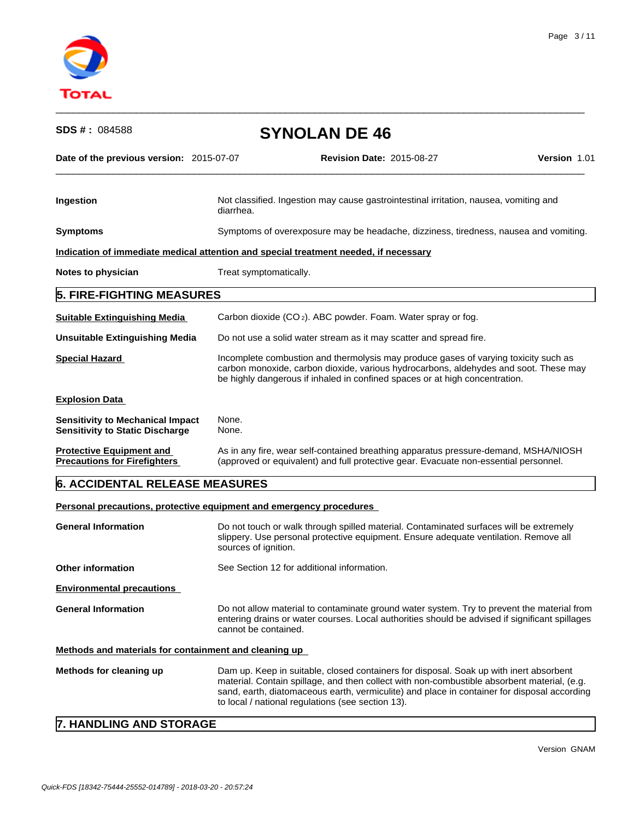

| <b>SDS #: 084588</b>                                                              |                        | <b>SYNOLAN DE 46</b>                                                                                                                                                                                                                                       |  |  |  |
|-----------------------------------------------------------------------------------|------------------------|------------------------------------------------------------------------------------------------------------------------------------------------------------------------------------------------------------------------------------------------------------|--|--|--|
| Date of the previous version: 2015-07-07                                          |                        | <b>Revision Date: 2015-08-27</b><br>Version 1.01                                                                                                                                                                                                           |  |  |  |
| Ingestion                                                                         | diarrhea.              | Not classified. Ingestion may cause gastrointestinal irritation, nausea, vomiting and                                                                                                                                                                      |  |  |  |
| <b>Symptoms</b>                                                                   |                        | Symptoms of overexposure may be headache, dizziness, tiredness, nausea and vomiting.                                                                                                                                                                       |  |  |  |
|                                                                                   |                        | Indication of immediate medical attention and special treatment needed, if necessary                                                                                                                                                                       |  |  |  |
| Notes to physician                                                                | Treat symptomatically. |                                                                                                                                                                                                                                                            |  |  |  |
| <b>5. FIRE-FIGHTING MEASURES</b>                                                  |                        |                                                                                                                                                                                                                                                            |  |  |  |
| <b>Suitable Extinguishing Media</b>                                               |                        | Carbon dioxide (CO <sub>2</sub> ). ABC powder. Foam. Water spray or fog.                                                                                                                                                                                   |  |  |  |
| <b>Unsuitable Extinguishing Media</b>                                             |                        | Do not use a solid water stream as it may scatter and spread fire.                                                                                                                                                                                         |  |  |  |
| <b>Special Hazard</b>                                                             |                        | Incomplete combustion and thermolysis may produce gases of varying toxicity such as<br>carbon monoxide, carbon dioxide, various hydrocarbons, aldehydes and soot. These may<br>be highly dangerous if inhaled in confined spaces or at high concentration. |  |  |  |
| <b>Explosion Data</b>                                                             |                        |                                                                                                                                                                                                                                                            |  |  |  |
| <b>Sensitivity to Mechanical Impact</b><br><b>Sensitivity to Static Discharge</b> | None.<br>None.         |                                                                                                                                                                                                                                                            |  |  |  |
| <b>Protective Equipment and</b><br><b>Precautions for Firefighters</b>            |                        | As in any fire, wear self-contained breathing apparatus pressure-demand, MSHA/NIOSH<br>(approved or equivalent) and full protective gear. Evacuate non-essential personnel.                                                                                |  |  |  |

 $\_$  ,  $\_$  ,  $\_$  ,  $\_$  ,  $\_$  ,  $\_$  ,  $\_$  ,  $\_$  ,  $\_$  ,  $\_$  ,  $\_$  ,  $\_$  ,  $\_$  ,  $\_$  ,  $\_$  ,  $\_$  ,  $\_$  ,  $\_$  ,  $\_$  ,  $\_$  ,  $\_$  ,  $\_$  ,  $\_$  ,  $\_$  ,  $\_$  ,  $\_$  ,  $\_$  ,  $\_$  ,  $\_$  ,  $\_$  ,  $\_$  ,  $\_$  ,  $\_$  ,  $\_$  ,  $\_$  ,  $\_$  ,  $\_$  ,

# **6. ACCIDENTAL RELEASE MEASURES**

**Personal precautions, protective equipment and emergency procedures** 

| <b>General Information</b>                            | Do not touch or walk through spilled material. Contaminated surfaces will be extremely<br>slippery. Use personal protective equipment. Ensure adequate ventilation. Remove all<br>sources of ignition.                                                                                                                                    |  |  |  |  |
|-------------------------------------------------------|-------------------------------------------------------------------------------------------------------------------------------------------------------------------------------------------------------------------------------------------------------------------------------------------------------------------------------------------|--|--|--|--|
| <b>Other information</b>                              | See Section 12 for additional information.                                                                                                                                                                                                                                                                                                |  |  |  |  |
| <b>Environmental precautions</b>                      |                                                                                                                                                                                                                                                                                                                                           |  |  |  |  |
| <b>General Information</b>                            | Do not allow material to contaminate ground water system. Try to prevent the material from<br>entering drains or water courses. Local authorities should be advised if significant spillages<br>cannot be contained.                                                                                                                      |  |  |  |  |
| Methods and materials for containment and cleaning up |                                                                                                                                                                                                                                                                                                                                           |  |  |  |  |
| Methods for cleaning up                               | Dam up. Keep in suitable, closed containers for disposal. Soak up with inert absorbent<br>material. Contain spillage, and then collect with non-combustible absorbent material, (e.g.<br>sand, earth, diatomaceous earth, vermiculite) and place in container for disposal according<br>to local / national regulations (see section 13). |  |  |  |  |

# **7. HANDLING AND STORAGE**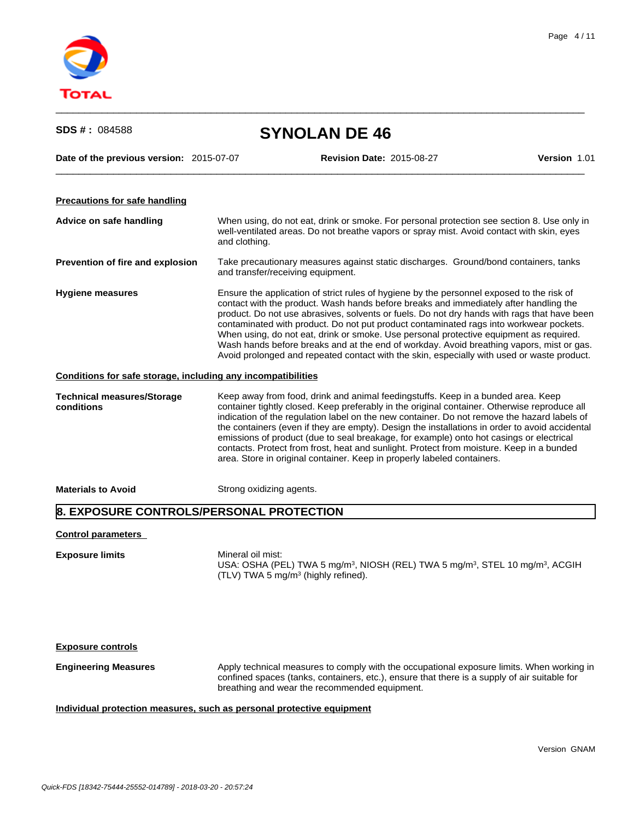

| <b>SDS #: 084588</b>                                         |                                                                                                                                                                                                          | <b>SYNOLAN DE 46</b>                                                                                                                                                                                                                                                                                                                                                                                                                                                                                                                                                                                                                                            |              |  |  |
|--------------------------------------------------------------|----------------------------------------------------------------------------------------------------------------------------------------------------------------------------------------------------------|-----------------------------------------------------------------------------------------------------------------------------------------------------------------------------------------------------------------------------------------------------------------------------------------------------------------------------------------------------------------------------------------------------------------------------------------------------------------------------------------------------------------------------------------------------------------------------------------------------------------------------------------------------------------|--------------|--|--|
| Date of the previous version: 2015-07-07                     |                                                                                                                                                                                                          | <b>Revision Date: 2015-08-27</b>                                                                                                                                                                                                                                                                                                                                                                                                                                                                                                                                                                                                                                | Version 1.01 |  |  |
| <b>Precautions for safe handling</b>                         |                                                                                                                                                                                                          |                                                                                                                                                                                                                                                                                                                                                                                                                                                                                                                                                                                                                                                                 |              |  |  |
| Advice on safe handling                                      | When using, do not eat, drink or smoke. For personal protection see section 8. Use only in<br>well-ventilated areas. Do not breathe vapors or spray mist. Avoid contact with skin, eyes<br>and clothing. |                                                                                                                                                                                                                                                                                                                                                                                                                                                                                                                                                                                                                                                                 |              |  |  |
| Prevention of fire and explosion                             | Take precautionary measures against static discharges. Ground/bond containers, tanks<br>and transfer/receiving equipment.                                                                                |                                                                                                                                                                                                                                                                                                                                                                                                                                                                                                                                                                                                                                                                 |              |  |  |
| <b>Hygiene measures</b>                                      |                                                                                                                                                                                                          | Ensure the application of strict rules of hygiene by the personnel exposed to the risk of<br>contact with the product. Wash hands before breaks and immediately after handling the<br>product. Do not use abrasives, solvents or fuels. Do not dry hands with rags that have been<br>contaminated with product. Do not put product contaminated rags into workwear pockets.<br>When using, do not eat, drink or smoke. Use personal protective equipment as required.<br>Wash hands before breaks and at the end of workday. Avoid breathing vapors, mist or gas.<br>Avoid prolonged and repeated contact with the skin, especially with used or waste product. |              |  |  |
| Conditions for safe storage, including any incompatibilities |                                                                                                                                                                                                          |                                                                                                                                                                                                                                                                                                                                                                                                                                                                                                                                                                                                                                                                 |              |  |  |
| <b>Technical measures/Storage</b><br>conditions              |                                                                                                                                                                                                          | Keep away from food, drink and animal feedingstuffs. Keep in a bunded area. Keep<br>container tightly closed. Keep preferably in the original container. Otherwise reproduce all<br>indication of the regulation label on the new container. Do not remove the hazard labels of<br>the containers (even if they are empty). Design the installations in order to avoid accidental<br>emissions of product (due to seal breakage, for example) onto hot casings or electrical<br>contacts. Protect from frost, heat and sunlight. Protect from moisture. Keep in a bunded<br>area. Store in original container. Keep in properly labeled containers.             |              |  |  |
| <b>Materials to Avoid</b>                                    | Strong oxidizing agents.                                                                                                                                                                                 |                                                                                                                                                                                                                                                                                                                                                                                                                                                                                                                                                                                                                                                                 |              |  |  |
| 8. EXPOSURE CONTROLS/PERSONAL PROTECTION                     |                                                                                                                                                                                                          |                                                                                                                                                                                                                                                                                                                                                                                                                                                                                                                                                                                                                                                                 |              |  |  |
| <b>Control parameters</b>                                    |                                                                                                                                                                                                          |                                                                                                                                                                                                                                                                                                                                                                                                                                                                                                                                                                                                                                                                 |              |  |  |
| <b>Exposure limits</b>                                       | Mineral oil mist:                                                                                                                                                                                        | USA: OSHA (PEL) TWA 5 mg/m <sup>3</sup> , NIOSH (REL) TWA 5 mg/m <sup>3</sup> , STEL 10 mg/m <sup>3</sup> , ACGIH<br>(TLV) TWA 5 mg/m <sup>3</sup> (highly refined).                                                                                                                                                                                                                                                                                                                                                                                                                                                                                            |              |  |  |
| <b>Exposure controls</b>                                     |                                                                                                                                                                                                          |                                                                                                                                                                                                                                                                                                                                                                                                                                                                                                                                                                                                                                                                 |              |  |  |
| <b>Engineering Measures</b>                                  |                                                                                                                                                                                                          | Apply technical measures to comply with the occupational exposure limits. When working in<br>confined spaces (tanks, containers, etc.), ensure that there is a supply of air suitable for<br>breathing and wear the recommended equipment.                                                                                                                                                                                                                                                                                                                                                                                                                      |              |  |  |
|                                                              |                                                                                                                                                                                                          |                                                                                                                                                                                                                                                                                                                                                                                                                                                                                                                                                                                                                                                                 |              |  |  |

# **Individual protection measures, such as personal protective equipment**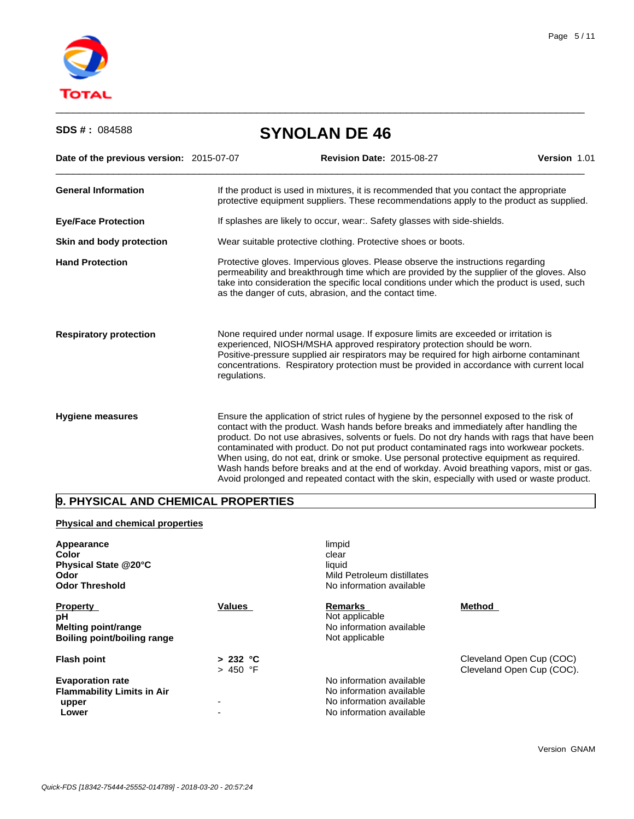

| <b>SDS #: 084588</b>                     | <b>SYNOLAN DE 46</b> |                                                                                                                                                                                                                                                                                                                                                                                                                                                                                                                                                                                                                                                                 |              |  |  |  |
|------------------------------------------|----------------------|-----------------------------------------------------------------------------------------------------------------------------------------------------------------------------------------------------------------------------------------------------------------------------------------------------------------------------------------------------------------------------------------------------------------------------------------------------------------------------------------------------------------------------------------------------------------------------------------------------------------------------------------------------------------|--------------|--|--|--|
| Date of the previous version: 2015-07-07 |                      | <b>Revision Date: 2015-08-27</b>                                                                                                                                                                                                                                                                                                                                                                                                                                                                                                                                                                                                                                | Version 1.01 |  |  |  |
| <b>General Information</b>               |                      | If the product is used in mixtures, it is recommended that you contact the appropriate<br>protective equipment suppliers. These recommendations apply to the product as supplied.                                                                                                                                                                                                                                                                                                                                                                                                                                                                               |              |  |  |  |
| <b>Eye/Face Protection</b>               |                      | If splashes are likely to occur, wear:. Safety glasses with side-shields.                                                                                                                                                                                                                                                                                                                                                                                                                                                                                                                                                                                       |              |  |  |  |
| Skin and body protection                 |                      | Wear suitable protective clothing. Protective shoes or boots.                                                                                                                                                                                                                                                                                                                                                                                                                                                                                                                                                                                                   |              |  |  |  |
| <b>Hand Protection</b>                   |                      | Protective gloves. Impervious gloves. Please observe the instructions regarding<br>permeability and breakthrough time which are provided by the supplier of the gloves. Also<br>take into consideration the specific local conditions under which the product is used, such<br>as the danger of cuts, abrasion, and the contact time.                                                                                                                                                                                                                                                                                                                           |              |  |  |  |
| <b>Respiratory protection</b>            | regulations.         | None required under normal usage. If exposure limits are exceeded or irritation is<br>experienced, NIOSH/MSHA approved respiratory protection should be worn.<br>Positive-pressure supplied air respirators may be required for high airborne contaminant<br>concentrations. Respiratory protection must be provided in accordance with current local                                                                                                                                                                                                                                                                                                           |              |  |  |  |
| <b>Hygiene measures</b>                  |                      | Ensure the application of strict rules of hygiene by the personnel exposed to the risk of<br>contact with the product. Wash hands before breaks and immediately after handling the<br>product. Do not use abrasives, solvents or fuels. Do not dry hands with rags that have been<br>contaminated with product. Do not put product contaminated rags into workwear pockets.<br>When using, do not eat, drink or smoke. Use personal protective equipment as required.<br>Wash hands before breaks and at the end of workday. Avoid breathing vapors, mist or gas.<br>Avoid prolonged and repeated contact with the skin, especially with used or waste product. |              |  |  |  |

 $\_$  ,  $\_$  ,  $\_$  ,  $\_$  ,  $\_$  ,  $\_$  ,  $\_$  ,  $\_$  ,  $\_$  ,  $\_$  ,  $\_$  ,  $\_$  ,  $\_$  ,  $\_$  ,  $\_$  ,  $\_$  ,  $\_$  ,  $\_$  ,  $\_$  ,  $\_$  ,  $\_$  ,  $\_$  ,  $\_$  ,  $\_$  ,  $\_$  ,  $\_$  ,  $\_$  ,  $\_$  ,  $\_$  ,  $\_$  ,  $\_$  ,  $\_$  ,  $\_$  ,  $\_$  ,  $\_$  ,  $\_$  ,  $\_$  ,

# **9. PHYSICAL AND CHEMICAL PROPERTIES**

## **Physical and chemical properties**

| Appearance<br>Color<br>Physical State @20°C<br>Odor<br><b>Odor Threshold</b>       |                          | limpid<br>clear<br>liquid<br>Mild Petroleum distillates<br>No information available                          |                                                       |
|------------------------------------------------------------------------------------|--------------------------|--------------------------------------------------------------------------------------------------------------|-------------------------------------------------------|
| <b>Property</b><br>рH<br><b>Melting point/range</b><br>Boiling point/boiling range | <b>Values</b>            | <b>Remarks</b><br>Not applicable<br>No information available<br>Not applicable                               | Method                                                |
| <b>Flash point</b>                                                                 | > 232 °C<br>> 450 °F     |                                                                                                              | Cleveland Open Cup (COC)<br>Cleveland Open Cup (COC). |
| <b>Evaporation rate</b><br><b>Flammability Limits in Air</b><br>upper<br>Lower     | $\overline{\phantom{0}}$ | No information available<br>No information available<br>No information available<br>No information available |                                                       |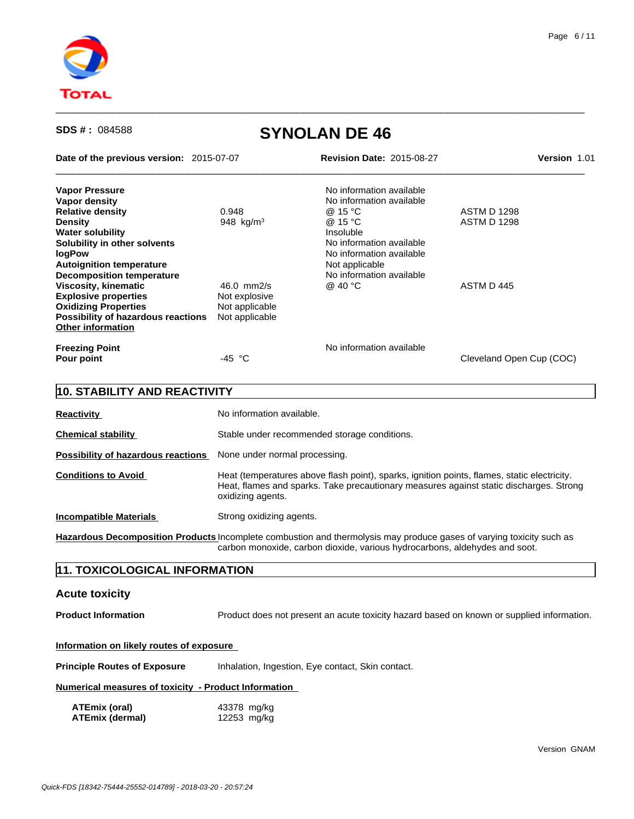

 $\_$  ,  $\_$  ,  $\_$  ,  $\_$  ,  $\_$  ,  $\_$  ,  $\_$  ,  $\_$  ,  $\_$  ,  $\_$  ,  $\_$  ,  $\_$  ,  $\_$  ,  $\_$  ,  $\_$  ,  $\_$  ,  $\_$  ,  $\_$  ,  $\_$  ,  $\_$  ,  $\_$  ,  $\_$  ,  $\_$  ,  $\_$  ,  $\_$  ,  $\_$  ,  $\_$  ,  $\_$  ,  $\_$  ,  $\_$  ,  $\_$  ,  $\_$  ,  $\_$  ,  $\_$  ,  $\_$  ,  $\_$  ,  $\_$  ,

| Date of the previous version: 2015-07-07  |                               | <b>Revision Date: 2015-08-27</b>                                                                                                                                                      | Version 1.01             |  |
|-------------------------------------------|-------------------------------|---------------------------------------------------------------------------------------------------------------------------------------------------------------------------------------|--------------------------|--|
| <b>Vapor Pressure</b>                     |                               | No information available                                                                                                                                                              |                          |  |
| Vapor density                             |                               | No information available                                                                                                                                                              |                          |  |
| <b>Relative density</b>                   | 0.948                         | @ 15 °C                                                                                                                                                                               | <b>ASTM D 1298</b>       |  |
| <b>Density</b>                            | 948 $kg/m3$                   | @ 15 °C                                                                                                                                                                               | <b>ASTM D 1298</b>       |  |
| <b>Water solubility</b>                   |                               | Insoluble                                                                                                                                                                             |                          |  |
| Solubility in other solvents              |                               | No information available                                                                                                                                                              |                          |  |
| <b>logPow</b>                             |                               | No information available                                                                                                                                                              |                          |  |
| <b>Autoignition temperature</b>           |                               | Not applicable                                                                                                                                                                        |                          |  |
| <b>Decomposition temperature</b>          |                               | No information available                                                                                                                                                              |                          |  |
| <b>Viscosity, kinematic</b>               | 46.0 mm2/s                    | @ 40 °C                                                                                                                                                                               | ASTM D 445               |  |
| <b>Explosive properties</b>               | Not explosive                 |                                                                                                                                                                                       |                          |  |
| <b>Oxidizing Properties</b>               | Not applicable                |                                                                                                                                                                                       |                          |  |
| Possibility of hazardous reactions        | Not applicable                |                                                                                                                                                                                       |                          |  |
| <b>Other information</b>                  |                               |                                                                                                                                                                                       |                          |  |
| <b>Freezing Point</b>                     |                               | No information available                                                                                                                                                              |                          |  |
| Pour point                                | -45 $^{\circ}$ C              |                                                                                                                                                                                       | Cleveland Open Cup (COC) |  |
| 10. STABILITY AND REACTIVITY              |                               |                                                                                                                                                                                       |                          |  |
| <b>Reactivity</b>                         | No information available.     |                                                                                                                                                                                       |                          |  |
| <b>Chemical stability</b>                 |                               | Stable under recommended storage conditions.                                                                                                                                          |                          |  |
| <b>Possibility of hazardous reactions</b> | None under normal processing. |                                                                                                                                                                                       |                          |  |
| <b>Conditions to Avoid</b>                | oxidizing agents.             | Heat (temperatures above flash point), sparks, ignition points, flames, static electricity.<br>Heat, flames and sparks. Take precautionary measures against static discharges. Strong |                          |  |
| <b>Incompatible Materials</b>             | Strong oxidizing agents.      |                                                                                                                                                                                       |                          |  |

**Hazardous Decomposition Products** Incomplete combustion and thermolysis may produce gases of varying toxicity such as carbon monoxide, carbon dioxide, various hydrocarbons, aldehydes and soot.

# **11. TOXICOLOGICAL INFORMATION**

## **Acute toxicity**

**Product Information** Product does not present an acute toxicity hazard based on known or supplied information.

#### **Information on likely routes of exposure**

**Principle Routes of Exposure** Inhalation, Ingestion, Eye contact, Skin contact.

#### **Numerical measures of toxicity - Product Information**

| ATEmix (oral)          | 43378 mg/kg |
|------------------------|-------------|
| <b>ATEmix (dermal)</b> | 12253 mg/kg |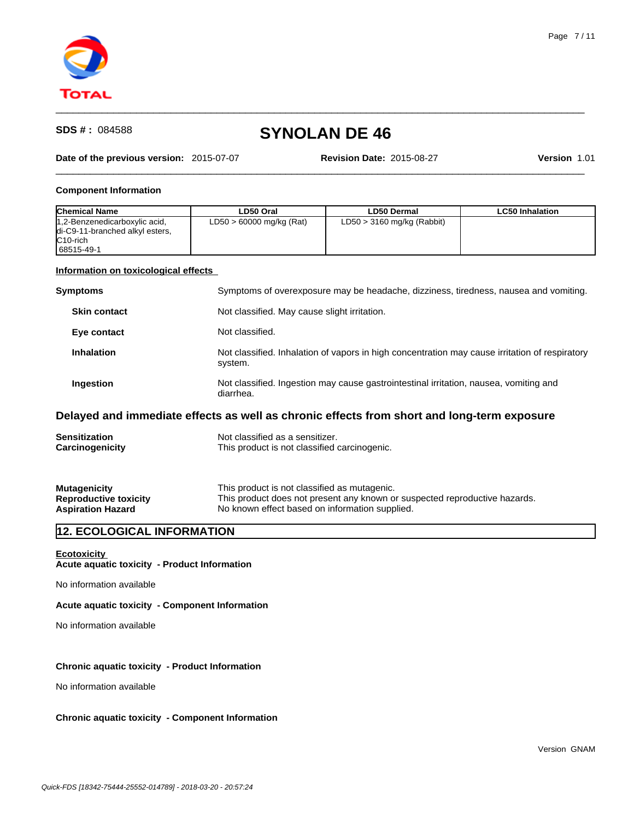

#### **Date of the previous version:** 2015-07-07 **Revision Date:** 2015-08-27 **Version** 1.01

 $\_$  ,  $\_$  ,  $\_$  ,  $\_$  ,  $\_$  ,  $\_$  ,  $\_$  ,  $\_$  ,  $\_$  ,  $\_$  ,  $\_$  ,  $\_$  ,  $\_$  ,  $\_$  ,  $\_$  ,  $\_$  ,  $\_$  ,  $\_$  ,  $\_$  ,  $\_$  ,  $\_$  ,  $\_$  ,  $\_$  ,  $\_$  ,  $\_$  ,  $\_$  ,  $\_$  ,  $\_$  ,  $\_$  ,  $\_$  ,  $\_$  ,  $\_$  ,  $\_$  ,  $\_$  ,  $\_$  ,  $\_$  ,  $\_$  ,

 $\_$  ,  $\_$  ,  $\_$  ,  $\_$  ,  $\_$  ,  $\_$  ,  $\_$  ,  $\_$  ,  $\_$  ,  $\_$  ,  $\_$  ,  $\_$  ,  $\_$  ,  $\_$  ,  $\_$  ,  $\_$  ,  $\_$  ,  $\_$  ,  $\_$  ,  $\_$  ,  $\_$  ,  $\_$  ,  $\_$  ,  $\_$  ,  $\_$  ,  $\_$  ,  $\_$  ,  $\_$  ,  $\_$  ,  $\_$  ,  $\_$  ,  $\_$  ,  $\_$  ,  $\_$  ,  $\_$  ,  $\_$  ,  $\_$  ,

#### **Component Information**

| <b>Chemical Name</b>                                                                                    | LD50 Oral                  | <b>LD50 Dermal</b>           | <b>LC50 Inhalation</b> |
|---------------------------------------------------------------------------------------------------------|----------------------------|------------------------------|------------------------|
| 1,2-Benzenedicarboxylic acid,<br>di-C9-11-branched alkyl esters,<br>IC <sub>10-rich</sub><br>68515-49-1 | $LD50 > 60000$ mg/kg (Rat) | $LD50 > 3160$ mg/kg (Rabbit) |                        |

### **Information on toxicological effects**

| Symptoms of overexposure may be headache, dizziness, tiredness, nausea and vomiting.           |
|------------------------------------------------------------------------------------------------|
|                                                                                                |
|                                                                                                |
| Not classified. Inhalation of vapors in high concentration may cause irritation of respiratory |
| Not classified. Ingestion may cause gastrointestinal irritation, nausea, vomiting and          |
|                                                                                                |

## **Delayed and immediate effects as well as chronic effects from short and long-term exposure**

| <b>Sensitization</b>         | Not classified as a sensitizer.                                            |
|------------------------------|----------------------------------------------------------------------------|
| Carcinogenicity              | This product is not classified carcinogenic.                               |
| <b>Mutagenicity</b>          | This product is not classified as mutagenic.                               |
| <b>Reproductive toxicity</b> | This product does not present any known or suspected reproductive hazards. |

Aspiration Hazard **No known effect based on information supplied.** 

# **12. ECOLOGICAL INFORMATION**

**Ecotoxicity** 

**Acute aquatic toxicity - Product Information**

No information available

**Acute aquatic toxicity - Component Information**

No information available

## **Chronic aquatic toxicity - Product Information**

No information available

#### **Chronic aquatic toxicity - Component Information**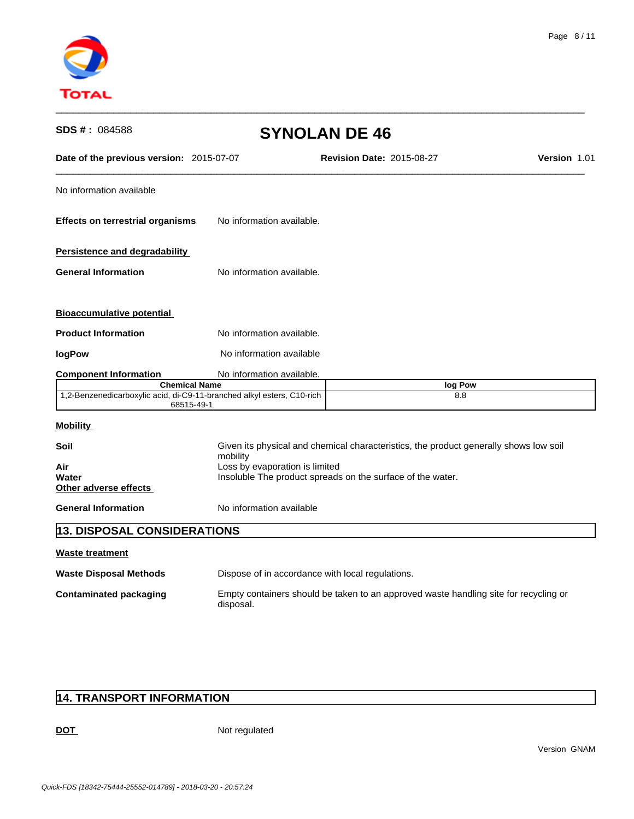

| SDS #: 084588                                                                                                | <b>SYNOLAN DE 46</b>                                                                         |                                                                                       |                     |
|--------------------------------------------------------------------------------------------------------------|----------------------------------------------------------------------------------------------|---------------------------------------------------------------------------------------|---------------------|
| Date of the previous version: 2015-07-07                                                                     |                                                                                              | <b>Revision Date: 2015-08-27</b>                                                      | <b>Version 1.01</b> |
| No information available                                                                                     |                                                                                              |                                                                                       |                     |
| <b>Effects on terrestrial organisms</b>                                                                      | No information available.                                                                    |                                                                                       |                     |
| <b>Persistence and degradability</b>                                                                         |                                                                                              |                                                                                       |                     |
| <b>General Information</b>                                                                                   | No information available.                                                                    |                                                                                       |                     |
| <b>Bioaccumulative potential</b>                                                                             |                                                                                              |                                                                                       |                     |
| <b>Product Information</b>                                                                                   | No information available.                                                                    |                                                                                       |                     |
| logPow                                                                                                       | No information available                                                                     |                                                                                       |                     |
| <b>Component Information</b>                                                                                 | No information available.                                                                    |                                                                                       |                     |
| <b>Chemical Name</b><br>1,2-Benzenedicarboxylic acid, di-C9-11-branched alkyl esters, C10-rich<br>68515-49-1 |                                                                                              | log Pow<br>8.8                                                                        |                     |
| <b>Mobility</b>                                                                                              |                                                                                              |                                                                                       |                     |
| Soil                                                                                                         | mobility                                                                                     | Given its physical and chemical characteristics, the product generally shows low soil |                     |
| Air<br>Water<br>Other adverse effects                                                                        | Loss by evaporation is limited<br>Insoluble The product spreads on the surface of the water. |                                                                                       |                     |
| <b>General Information</b>                                                                                   | No information available                                                                     |                                                                                       |                     |
| <b>13. DISPOSAL CONSIDERATIONS</b>                                                                           |                                                                                              |                                                                                       |                     |
| <b>Waste treatment</b>                                                                                       |                                                                                              |                                                                                       |                     |
| <b>Waste Disposal Methods</b>                                                                                | Dispose of in accordance with local regulations.                                             |                                                                                       |                     |
| <b>Contaminated packaging</b>                                                                                | disposal.                                                                                    | Empty containers should be taken to an approved waste handling site for recycling or  |                     |

# **14. TRANSPORT INFORMATION**

DOT Not regulated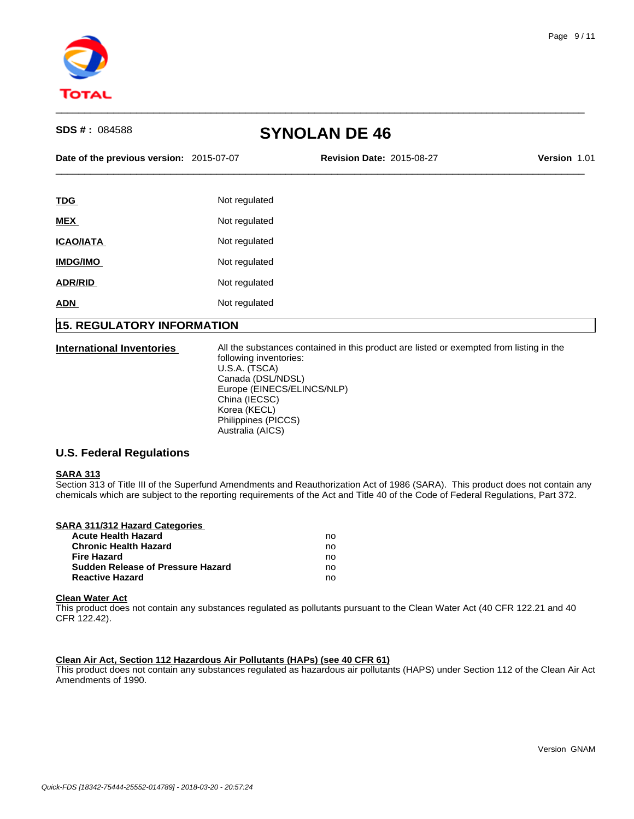

**Date of the previous version:** 2015-07-07 **Revision Date:** 2015-08-27 **Version** 1.01

 $\_$  ,  $\_$  ,  $\_$  ,  $\_$  ,  $\_$  ,  $\_$  ,  $\_$  ,  $\_$  ,  $\_$  ,  $\_$  ,  $\_$  ,  $\_$  ,  $\_$  ,  $\_$  ,  $\_$  ,  $\_$  ,  $\_$  ,  $\_$  ,  $\_$  ,  $\_$  ,  $\_$  ,  $\_$  ,  $\_$  ,  $\_$  ,  $\_$  ,  $\_$  ,  $\_$  ,  $\_$  ,  $\_$  ,  $\_$  ,  $\_$  ,  $\_$  ,  $\_$  ,  $\_$  ,  $\_$  ,  $\_$  ,  $\_$  ,

 $\_$  ,  $\_$  ,  $\_$  ,  $\_$  ,  $\_$  ,  $\_$  ,  $\_$  ,  $\_$  ,  $\_$  ,  $\_$  ,  $\_$  ,  $\_$  ,  $\_$  ,  $\_$  ,  $\_$  ,  $\_$  ,  $\_$  ,  $\_$  ,  $\_$  ,  $\_$  ,  $\_$  ,  $\_$  ,  $\_$  ,  $\_$  ,  $\_$  ,  $\_$  ,  $\_$  ,  $\_$  ,  $\_$  ,  $\_$  ,  $\_$  ,  $\_$  ,  $\_$  ,  $\_$  ,  $\_$  ,  $\_$  ,  $\_$  ,

| TDG.             | Not regulated |
|------------------|---------------|
| <b>MEX</b>       | Not regulated |
| <b>ICAO/IATA</b> | Not regulated |
| <b>IMDG/IMO</b>  | Not regulated |
| <b>ADR/RID</b>   | Not regulated |
| <b>ADN</b>       | Not regulated |
|                  |               |

# **15. REGULATORY INFORMATION**

**International Inventories** All the substances contained in this product are listed or exempted from listing in the following inventories:

U.S.A. (TSCA) Canada (DSL/NDSL) Europe (EINECS/ELINCS/NLP) China (IECSC) Korea (KECL) Philippines (PICCS) Australia (AICS)

## **U.S. Federal Regulations**

#### **SARA 313**

Section 313 of Title III of the Superfund Amendments and Reauthorization Act of 1986 (SARA). This product does not contain any chemicals which are subject to the reporting requirements of the Act and Title 40 of the Code of Federal Regulations, Part 372.

| SARA 311/312 Hazard Categories    |    |  |
|-----------------------------------|----|--|
| <b>Acute Health Hazard</b>        | no |  |
| <b>Chronic Health Hazard</b>      | no |  |
| Fire Hazard                       | no |  |
| Sudden Release of Pressure Hazard | no |  |
| <b>Reactive Hazard</b>            | no |  |

## **Clean Water Act**

This product does not contain any substances regulated as pollutants pursuant to the Clean Water Act (40 CFR 122.21 and 40 CFR 122.42).

#### **Clean Air Act, Section 112 Hazardous Air Pollutants (HAPs) (see 40 CFR 61)**

This product does not contain any substances regulated as hazardous air pollutants (HAPS) under Section 112 of the Clean Air Act Amendments of 1990.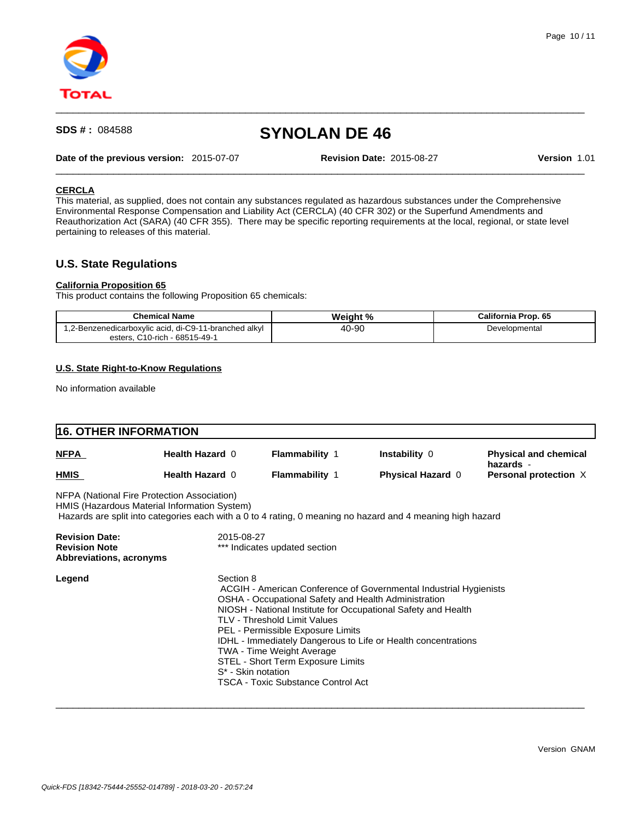

**Date of the previous version:** 2015-07-07 **Revision Date:** 2015-08-27 **Version** 1.01

 $\_$  ,  $\_$  ,  $\_$  ,  $\_$  ,  $\_$  ,  $\_$  ,  $\_$  ,  $\_$  ,  $\_$  ,  $\_$  ,  $\_$  ,  $\_$  ,  $\_$  ,  $\_$  ,  $\_$  ,  $\_$  ,  $\_$  ,  $\_$  ,  $\_$  ,  $\_$  ,  $\_$  ,  $\_$  ,  $\_$  ,  $\_$  ,  $\_$  ,  $\_$  ,  $\_$  ,  $\_$  ,  $\_$  ,  $\_$  ,  $\_$  ,  $\_$  ,  $\_$  ,  $\_$  ,  $\_$  ,  $\_$  ,  $\_$  ,

 $\_$  ,  $\_$  ,  $\_$  ,  $\_$  ,  $\_$  ,  $\_$  ,  $\_$  ,  $\_$  ,  $\_$  ,  $\_$  ,  $\_$  ,  $\_$  ,  $\_$  ,  $\_$  ,  $\_$  ,  $\_$  ,  $\_$  ,  $\_$  ,  $\_$  ,  $\_$  ,  $\_$  ,  $\_$  ,  $\_$  ,  $\_$  ,  $\_$  ,  $\_$  ,  $\_$  ,  $\_$  ,  $\_$  ,  $\_$  ,  $\_$  ,  $\_$  ,  $\_$  ,  $\_$  ,  $\_$  ,  $\_$  ,  $\_$  ,

### **CERCLA**

This material, as supplied, does not contain any substances regulated as hazardous substances under the Comprehensive Environmental Response Compensation and Liability Act (CERCLA) (40 CFR 302) or the Superfund Amendments and Reauthorization Act (SARA) (40 CFR 355). There may be specific reporting requirements at the local, regional, or state level pertaining to releases of this material.

## **U.S. State Regulations**

#### **California Proposition 65**

This product contains the following Proposition 65 chemicals:

| <b>Chemical Name</b>                                                                        | Weight % | California Prop. 65 |
|---------------------------------------------------------------------------------------------|----------|---------------------|
| 1,2-Benzenedicarboxylic acid, di-C9-11-branched alkyl<br>. C10-rich - 68515-49-1<br>esters. | 40-90    | Developmental       |

#### **U.S. State Right-to-Know Regulations**

No information available

## **16. OTHER INFORMATION** NFPA (National Fire Protection Association) HMIS (Hazardous Material Information System) Hazards are split into categories each with a 0 to 4 rating, 0 meaning no hazard and 4 meaning high hazard **Revision Date:** 2015-08-27 **Revision Note Exercise 2018 Revision Note Kevision K Abbreviations, acronyms Legend** Section 8 ACGIH - American Conference of Governmental Industrial Hygienists OSHA - Occupational Safety and Health Administration NIOSH - National Institute for Occupational Safety and Health TLV - Threshold Limit Values PEL - Permissible Exposure Limits IDHL - Immediately Dangerous to Life or Health concentrations TWA - Time Weight Average STEL - Short Term Exposure Limits S\* - Skin notation TSCA - Toxic Substance Control Act **NFPA Health Hazard** 0 **Flammability** 1 **Instability** 0 **Physical and chemical hazards** - **HMIS Health Hazard 0 <b>Flammability 1 Physical Hazard 0 Personal protection** X

 $\_$  ,  $\_$  ,  $\_$  ,  $\_$  ,  $\_$  ,  $\_$  ,  $\_$  ,  $\_$  ,  $\_$  ,  $\_$  ,  $\_$  ,  $\_$  ,  $\_$  ,  $\_$  ,  $\_$  ,  $\_$  ,  $\_$  ,  $\_$  ,  $\_$  ,  $\_$  ,  $\_$  ,  $\_$  ,  $\_$  ,  $\_$  ,  $\_$  ,  $\_$  ,  $\_$  ,  $\_$  ,  $\_$  ,  $\_$  ,  $\_$  ,  $\_$  ,  $\_$  ,  $\_$  ,  $\_$  ,  $\_$  ,  $\_$  ,